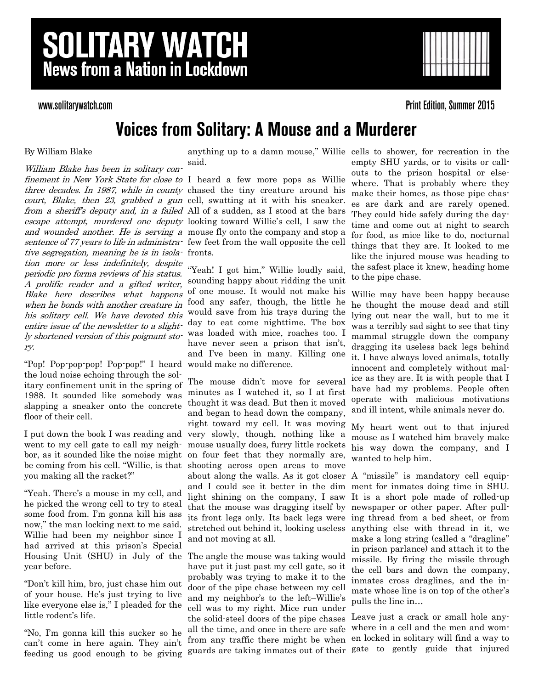# **SOLITARY WATCH News from a Nation in Lockdown**

### www.solitarywatch.com

**Print Edition, Summer 2015** 

### **Voices from Solitary: A Mouse and a Murderer**

#### By William Blake

William Blake has been in solitary confinement in New York State for close to I heard a few more pops as Willie three decades. In 1987, while in county chased the tiny creature around his court, Blake, then 23, grabbed a gun cell, swatting at it with his sneaker. from a sheriff's deputy and, in a failed All of a sudden, as I stood at the bars escape attempt, murdered one deputy looking toward Willie's cell, I saw the and wounded another. He is serving a mouse fly onto the company and stop a sentence of 77 years to life in administra- few feet from the wall opposite the cell tive segregation, meaning he is in isola-fronts. tion more or less indefinitely, despite periodic pro forma reviews of his status. A prolific reader and a gifted writer, Blake here describes what happens when he bonds with another creature in his solitary cell. We have devoted this entire issue of the newsletter to a slightly shortened version of this poignant story.

"Pop! Pop-pop-pop! Pop-pop!" I heard would make no difference. the loud noise echoing through the solitary confinement unit in the spring of 1988. It sounded like somebody was slapping a sneaker onto the concrete floor of their cell.

I put down the book I was reading and went to my cell gate to call my neighbor, as it sounded like the noise might be coming from his cell. "Willie, is that you making all the racket?"

"Yeah. There's a mouse in my cell, and he picked the wrong cell to try to steal some food from. I'm gonna kill his ass now," the man locking next to me said. Willie had been my neighbor since I had arrived at this prison's Special Housing Unit (SHU) in July of the The angle the mouse was taking would year before.

"Don't kill him, bro, just chase him out of your house. He's just trying to live like everyone else is," I pleaded for the little rodent's life.

"No, I'm gonna kill this sucker so he can't come in here again. They ain't feeding us good enough to be giving

anything up to a damn mouse," Willie cells to shower, for recreation in the said.

"Yeah! I got him," Willie loudly said, sounding happy about ridding the unit of one mouse. It would not make his food any safer, though, the little he would save from his trays during the day to eat come nighttime. The box was loaded with mice, roaches too. I have never seen a prison that isn't, and I've been in many. Killing one

The mouse didn't move for several minutes as I watched it, so I at first thought it was dead. But then it moved and began to head down the company, right toward my cell. It was moving My heart went out to that injured very slowly, though, nothing like a mouse usually does, furry little rockets on four feet that they normally are, shooting across open areas to move about along the walls. As it got closer A "missile" is mandatory cell equipand I could see it better in the dim ment for inmates doing time in SHU. light shining on the company, I saw It is a short pole made of rolled-up that the mouse was dragging itself by newspaper or other paper. After pullits front legs only. Its back legs were ing thread from a bed sheet, or from stretched out behind it, looking useless and not moving at all.

have put it just past my cell gate, so it probably was trying to make it to the door of the pipe chase between my cell and my neighbor's to the left–Willie's cell was to my right. Mice run under the solid-steel doors of the pipe chases all the time, and once in there are safe from any traffic there might be when guards are taking inmates out of their gate to gently guide that injured

empty SHU yards, or to visits or callouts to the prison hospital or elsewhere. That is probably where they make their homes, as those pipe chases are dark and are rarely opened. They could hide safely during the daytime and come out at night to search for food, as mice like to do, nocturnal things that they are. It looked to me like the injured mouse was heading to the safest place it knew, heading home to the pipe chase.

Willie may have been happy because he thought the mouse dead and still lying out near the wall, but to me it was a terribly sad sight to see that tiny mammal struggle down the company dragging its useless back legs behind it. I have always loved animals, totally innocent and completely without malice as they are. It is with people that I have had my problems. People often operate with malicious motivations and ill intent, while animals never do.

mouse as I watched him bravely make his way down the company, and I wanted to help him.

anything else with thread in it, we make a long string (called a "dragline" in prison parlance) and attach it to the missile. By firing the missile through the cell bars and down the company, inmates cross draglines, and the inmate whose line is on top of the other's pulls the line in…

Leave just a crack or small hole anywhere in a cell and the men and women locked in solitary will find a way to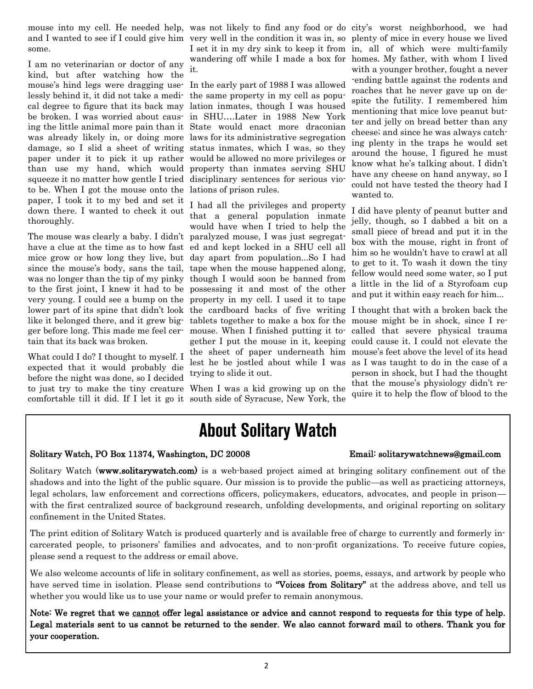mouse into my cell. He needed help, was not likely to find any food or do city's worst neighborhood, we had and I wanted to see if I could give him very well in the condition it was in, so plenty of mice in every house we lived some.

I am no veterinarian or doctor of any kind, but after watching how the mouse's hind legs were dragging use-In the early part of 1988 I was allowed lessly behind it, it did not take a medi-the same property in my cell as popucal degree to figure that its back may lation inmates, though I was housed be broken. I was worried about caus-in SHU….Later in 1988 New York ing the little animal more pain than it State would enact more draconian was already likely in, or doing more laws for its administrative segregation damage, so I slid a sheet of writing status inmates, which I was, so they paper under it to pick it up rather would be allowed no more privileges or than use my hand, which would property than inmates serving SHU squeeze it no matter how gentle I tried disciplinary sentences for serious vioto be. When I got the mouse onto the lations of prison rules. paper, I took it to my bed and set it down there. I wanted to check it out thoroughly.

The mouse was clearly a baby. I didn't paralyzed mouse, I was just segregathave a clue at the time as to how fast ed and kept locked in a SHU cell all mice grow or how long they live, but day apart from population...So I had since the mouse's body, sans the tail, was no longer than the tip of my pinky to the first joint, I knew it had to be very young. I could see a bump on the like it belonged there, and it grew bigger before long. This made me feel certain that its back was broken.

What could I do? I thought to myself. I expected that it would probably die before the night was done, so I decided to just try to make the tiny creature When I was a kid growing up on the

it.

lower part of its spine that didn't look the cardboard backs of five writing I thought that with a broken back the I had all the privileges and property that a general population inmate would have when I tried to help the tape when the mouse happened along, though I would soon be banned from possessing it and most of the other property in my cell. I used it to tape tablets together to make a box for the mouse might be in shock, since I remouse. When I finished putting it together I put the mouse in it, keeping could cause it. I could not elevate the the sheet of paper underneath him mouse's feet above the level of its head lest he be jostled about while I was as I was taught to do in the case of a trying to slide it out.

comfortable till it did. If I let it go it south side of Syracuse, New York, the

I set it in my dry sink to keep it from in, all of which were multi-family wandering off while I made a box for homes. My father, with whom I lived with a younger brother, fought a never -ending battle against the rodents and roaches that he never gave up on despite the futility. I remembered him mentioning that mice love peanut butter and jelly on bread better than any cheese; and since he was always catching plenty in the traps he would set around the house, I figured he must know what he's talking about. I didn't have any cheese on hand anyway, so I could not have tested the theory had I wanted to.

> I did have plenty of peanut butter and jelly, though, so I dabbed a bit on a small piece of bread and put it in the box with the mouse, right in front of him so he wouldn't have to crawl at all to get to it. To wash it down the tiny fellow would need some water, so I put a little in the lid of a Styrofoam cup and put it within easy reach for him...

called that severe physical trauma person in shock, but I had the thought that the mouse's physiology didn't require it to help the flow of blood to the

## **About Solitary Watch**

#### Solitary Watch, PO Box 11374, Washington, DC 20008 Email: solitarywatchnews@gmail.com

Solitary Watch (www.solitarywatch.com) is a web-based project aimed at bringing solitary confinement out of the shadows and into the light of the public square. Our mission is to provide the public—as well as practicing attorneys, legal scholars, law enforcement and corrections officers, policymakers, educators, advocates, and people in prison with the first centralized source of background research, unfolding developments, and original reporting on solitary confinement in the United States.

The print edition of Solitary Watch is produced quarterly and is available free of charge to currently and formerly incarcerated people, to prisoners' families and advocates, and to non-profit organizations. To receive future copies, please send a request to the address or email above.

We also welcome accounts of life in solitary confinement, as well as stories, poems, essays, and artwork by people who have served time in isolation. Please send contributions to "Voices from Solitary" at the address above, and tell us whether you would like us to use your name or would prefer to remain anonymous.

Note: We regret that we cannot offer legal assistance or advice and cannot respond to requests for this type of help. Legal materials sent to us cannot be returned to the sender. We also cannot forward mail to others. Thank you for your cooperation.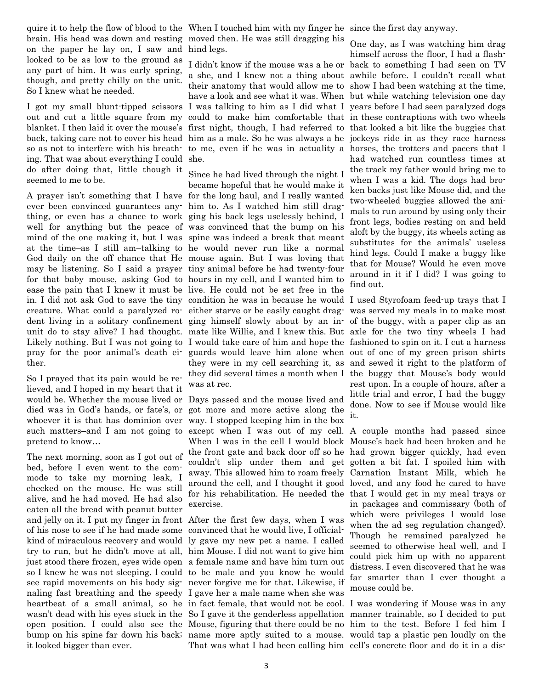quire it to help the flow of blood to the When I touched him with my finger he since the first day anyway. brain. His head was down and resting moved then. He was still dragging his on the paper he lay on, I saw and hind legs. looked to be as low to the ground as any part of him. It was early spring, though, and pretty chilly on the unit. So I knew what he needed.

ing. That was about everything I could she. do after doing that, little though it seemed to me to be.

A prayer isn't something that I have for the long haul, and I really wanted ever been convinced guarantees any-him to. As I watched him still dragthing, or even has a chance to work ging his back legs uselessly behind, I well for anything but the peace of was convinced that the bump on his mind of the one making it, but I was spine was indeed a break that meant at the time–as I still am–talking to he would never run like a normal God daily on the off chance that He mouse again. But I was loving that may be listening. So I said a prayer tiny animal before he had twenty-four for that baby mouse, asking God to hours in my cell, and I wanted him to ease the pain that I knew it must be live. He could not be set free in the ther.

So I prayed that its pain would be relieved, and I hoped in my heart that it died was in God's hands, or fate's, or such matters–and I am not going to pretend to know…

The next morning, soon as I got out of bed, before I even went to the commode to take my morning leak, I checked on the mouse. He was still alive, and he had moved. He had also eaten all the bread with peanut butter and jelly on it. I put my finger in front After the first few days, when I was of his nose to see if he had made some convinced that he would live, I officialkind of miraculous recovery and would ly gave my new pet a name. I called try to run, but he didn't move at all, him Mouse. I did not want to give him just stood there frozen, eyes wide open a female name and have him turn out so I knew he was not sleeping. I could to be male–and you know he would see rapid movements on his body sig-never forgive me for that. Likewise, if naling fast breathing and the speedy I gave her a male name when she was it looked bigger than ever.

I got my small blunt-tipped scissors I was talking to him as I did what I years before I had seen paralyzed dogs out and cut a little square from my could to make him comfortable that in these contraptions with two wheels blanket. I then laid it over the mouse's first night, though, I had referred to that looked a bit like the buggies that back, taking care not to cover his head him as a male. So he was always a he jockeys ride in as they race harness so as not to interfere with his breath- to me, even if he was in actuality a horses, the trotters and pacers that I I didn't know if the mouse was a he or back to something I had seen on TV a she, and I knew not a thing about awhile before. I couldn't recall what their anatomy that would allow me to show I had been watching at the time, have a look and see what it was. When but while watching television one day

in. I did not ask God to save the tiny condition he was in because he would I used Styrofoam feed-up trays that I creature. What could a paralyzed ro- either starve or be easily caught drag- was served my meals in to make most dent living in a solitary confinement ging himself slowly about by an in-of the buggy, with a paper clip as an unit do to stay alive? I had thought. mate like Willie, and I knew this. But axle for the two tiny wheels I had Likely nothing. But I was not going to I would take care of him and hope the fashioned to spin on it. I cut a harness pray for the poor animal's death ei-guards would leave him alone when out of one of my green prison shirts Since he had lived through the night I became hopeful that he would make it they were in my cell searching it, as and sewed it right to the platform of they did several times a month when I the buggy that Mouse's body would was at rec.

would be. Whether the mouse lived or Days passed and the mouse lived and whoever it is that has dominion over way. I stopped keeping him in the box got more and more active along the except when I was out of my cell. A couple months had passed since When I was in the cell I would block Mouse's back had been broken and he the front gate and back door off so he had grown bigger quickly, had even couldn't slip under them and get gotten a bit fat. I spoiled him with away. This allowed him to roam freely Carnation Instant Milk, which he around the cell, and I thought it good loved, and any food he cared to have for his rehabilitation. He needed the that I would get in my meal trays or exercise.

heartbeat of a small animal, so he in fact female, that would not be cool. I was wondering if Mouse was in any wasn't dead with his eyes stuck in the So I gave it the genderless appellation manner trainable, so I decided to put open position. I could also see the Mouse, figuring that there could be no him to the test. Before I fed him I bump on his spine far down his back; name more aptly suited to a mouse. would tap a plastic pen loudly on the That was what I had been calling him cell's concrete floor and do it in a dis-

One day, as I was watching him drag himself across the floor, I had a flashhad watched run countless times at the track my father would bring me to when I was a kid. The dogs had broken backs just like Mouse did, and the two-wheeled buggies allowed the animals to run around by using only their front legs, bodies resting on and held aloft by the buggy, its wheels acting as substitutes for the animals' useless hind legs. Could I make a buggy like that for Mouse? Would he even move around in it if I did? I was going to find out.

rest upon. In a couple of hours, after a little trial and error, I had the buggy done. Now to see if Mouse would like it.

in packages and commissary (both of which were privileges I would lose when the ad seg regulation changed). Though he remained paralyzed he seemed to otherwise heal well, and I could pick him up with no apparent distress. I even discovered that he was far smarter than I ever thought a mouse could be.